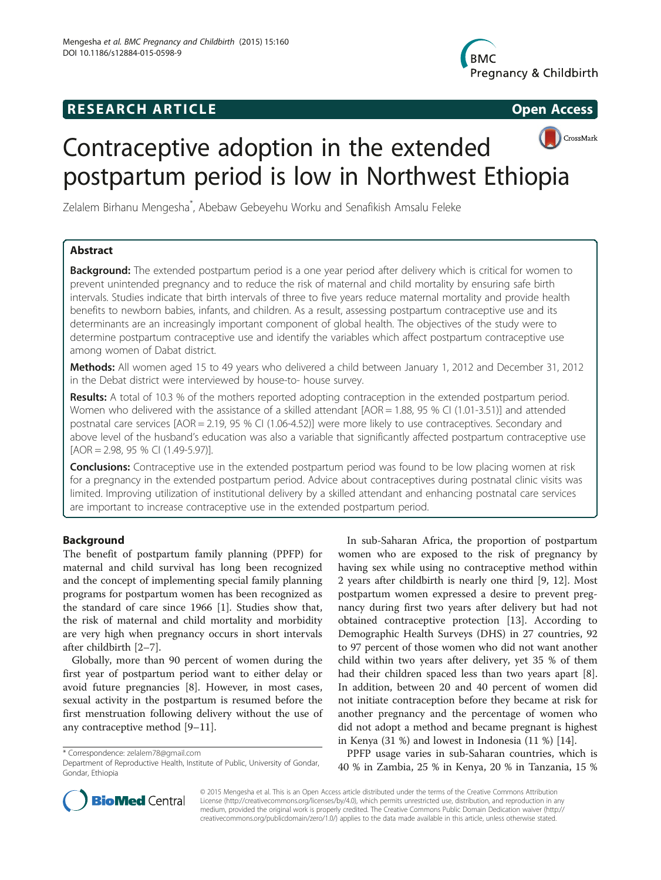## **RESEARCH ARTICLE Example 2014 CONSIDERING CONSIDERING CONSIDERING CONSIDERING CONSIDERING CONSIDERING CONSIDERING CONSIDERING CONSIDERING CONSIDERING CONSIDERING CONSIDERING CONSIDERING CONSIDERING CONSIDERING CONSIDE**





# Contraceptive adoption in the extended postpartum period is low in Northwest Ethiopia

Zelalem Birhanu Mengesha<sup>\*</sup>, Abebaw Gebeyehu Worku and Senafikish Amsalu Feleke

## Abstract

**Background:** The extended postpartum period is a one year period after delivery which is critical for women to prevent unintended pregnancy and to reduce the risk of maternal and child mortality by ensuring safe birth intervals. Studies indicate that birth intervals of three to five years reduce maternal mortality and provide health benefits to newborn babies, infants, and children. As a result, assessing postpartum contraceptive use and its determinants are an increasingly important component of global health. The objectives of the study were to determine postpartum contraceptive use and identify the variables which affect postpartum contraceptive use among women of Dabat district.

Methods: All women aged 15 to 49 years who delivered a child between January 1, 2012 and December 31, 2012 in the Debat district were interviewed by house-to- house survey.

Results: A total of 10.3 % of the mothers reported adopting contraception in the extended postpartum period. Women who delivered with the assistance of a skilled attendant [AOR = 1.88, 95 % CI (1.01-3.51)] and attended postnatal care services [AOR = 2.19, 95 % CI (1.06-4.52)] were more likely to use contraceptives. Secondary and above level of the husband's education was also a variable that significantly affected postpartum contraceptive use [AOR = 2.98, 95 % CI (1.49-5.97)].

**Conclusions:** Contraceptive use in the extended postpartum period was found to be low placing women at risk for a pregnancy in the extended postpartum period. Advice about contraceptives during postnatal clinic visits was limited. Improving utilization of institutional delivery by a skilled attendant and enhancing postnatal care services are important to increase contraceptive use in the extended postpartum period.

## Background

The benefit of postpartum family planning (PPFP) for maternal and child survival has long been recognized and the concept of implementing special family planning programs for postpartum women has been recognized as the standard of care since 1966 [[1\]](#page-5-0). Studies show that, the risk of maternal and child mortality and morbidity are very high when pregnancy occurs in short intervals after childbirth [\[2](#page-5-0)–[7\]](#page-5-0).

Globally, more than 90 percent of women during the first year of postpartum period want to either delay or avoid future pregnancies [\[8](#page-5-0)]. However, in most cases, sexual activity in the postpartum is resumed before the first menstruation following delivery without the use of any contraceptive method [\[9](#page-5-0)–[11\]](#page-5-0).

\* Correspondence: [zelalem78@gmail.com](mailto:zelalem78@gmail.com)

In sub-Saharan Africa, the proportion of postpartum women who are exposed to the risk of pregnancy by having sex while using no contraceptive method within 2 years after childbirth is nearly one third [[9, 12](#page-5-0)]. Most postpartum women expressed a desire to prevent pregnancy during first two years after delivery but had not obtained contraceptive protection [[13\]](#page-5-0). According to Demographic Health Surveys (DHS) in 27 countries, 92 to 97 percent of those women who did not want another child within two years after delivery, yet 35 % of them had their children spaced less than two years apart [\[8](#page-5-0)]. In addition, between 20 and 40 percent of women did not initiate contraception before they became at risk for another pregnancy and the percentage of women who did not adopt a method and became pregnant is highest in Kenya (31 %) and lowest in Indonesia (11 %) [[14\]](#page-5-0).

PPFP usage varies in sub-Saharan countries, which is 40 % in Zambia, 25 % in Kenya, 20 % in Tanzania, 15 %



© 2015 Mengesha et al. This is an Open Access article distributed under the terms of the Creative Commons Attribution License (<http://creativecommons.org/licenses/by/4.0>), which permits unrestricted use, distribution, and reproduction in any medium, provided the original work is properly credited. The Creative Commons Public Domain Dedication waiver [\(http://](http://creativecommons.org/publicdomain/zero/1.0/) [creativecommons.org/publicdomain/zero/1.0/\)](http://creativecommons.org/publicdomain/zero/1.0/) applies to the data made available in this article, unless otherwise stated.

Department of Reproductive Health, Institute of Public, University of Gondar, Gondar, Ethiopia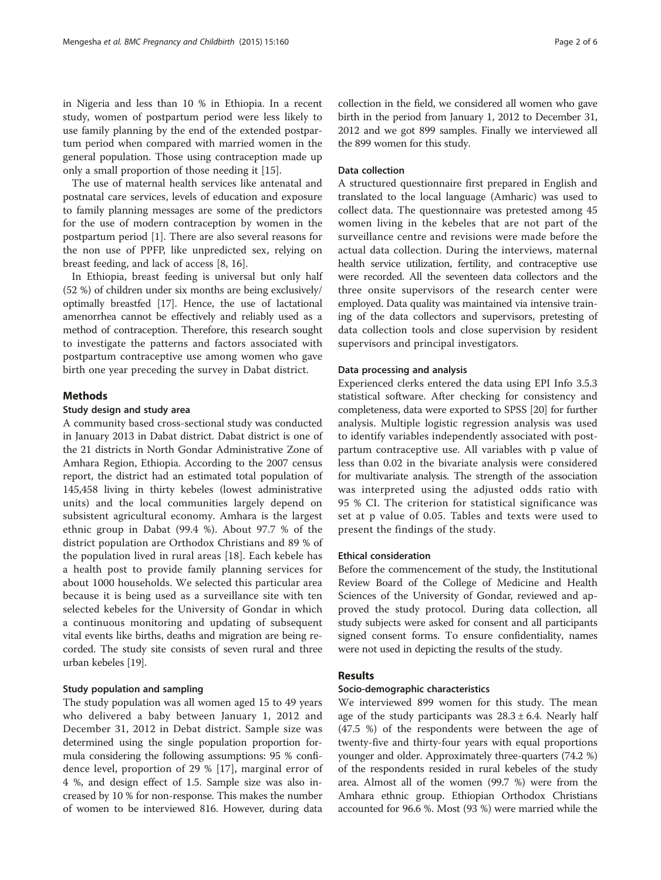in Nigeria and less than 10 % in Ethiopia. In a recent study, women of postpartum period were less likely to use family planning by the end of the extended postpartum period when compared with married women in the general population. Those using contraception made up only a small proportion of those needing it [[15\]](#page-5-0).

The use of maternal health services like antenatal and postnatal care services, levels of education and exposure to family planning messages are some of the predictors for the use of modern contraception by women in the postpartum period [\[1](#page-5-0)]. There are also several reasons for the non use of PPFP, like unpredicted sex, relying on breast feeding, and lack of access [\[8](#page-5-0), [16](#page-5-0)].

In Ethiopia, breast feeding is universal but only half (52 %) of children under six months are being exclusively/ optimally breastfed [[17](#page-5-0)]. Hence, the use of lactational amenorrhea cannot be effectively and reliably used as a method of contraception. Therefore, this research sought to investigate the patterns and factors associated with postpartum contraceptive use among women who gave birth one year preceding the survey in Dabat district.

#### Methods

#### Study design and study area

A community based cross-sectional study was conducted in January 2013 in Dabat district. Dabat district is one of the 21 districts in North Gondar Administrative Zone of Amhara Region, Ethiopia. According to the 2007 census report, the district had an estimated total population of 145,458 living in thirty kebeles (lowest administrative units) and the local communities largely depend on subsistent agricultural economy. Amhara is the largest ethnic group in Dabat (99.4 %). About 97.7 % of the district population are Orthodox Christians and 89 % of the population lived in rural areas [[18\]](#page-5-0). Each kebele has a health post to provide family planning services for about 1000 households. We selected this particular area because it is being used as a surveillance site with ten selected kebeles for the University of Gondar in which a continuous monitoring and updating of subsequent vital events like births, deaths and migration are being recorded. The study site consists of seven rural and three urban kebeles [\[19](#page-5-0)].

#### Study population and sampling

The study population was all women aged 15 to 49 years who delivered a baby between January 1, 2012 and December 31, 2012 in Debat district. Sample size was determined using the single population proportion formula considering the following assumptions: 95 % confidence level, proportion of 29 % [\[17](#page-5-0)], marginal error of 4 %, and design effect of 1.5. Sample size was also increased by 10 % for non-response. This makes the number of women to be interviewed 816. However, during data

collection in the field, we considered all women who gave birth in the period from January 1, 2012 to December 31, 2012 and we got 899 samples. Finally we interviewed all the 899 women for this study.

#### Data collection

A structured questionnaire first prepared in English and translated to the local language (Amharic) was used to collect data. The questionnaire was pretested among 45 women living in the kebeles that are not part of the surveillance centre and revisions were made before the actual data collection. During the interviews, maternal health service utilization, fertility, and contraceptive use were recorded. All the seventeen data collectors and the three onsite supervisors of the research center were employed. Data quality was maintained via intensive training of the data collectors and supervisors, pretesting of data collection tools and close supervision by resident supervisors and principal investigators.

#### Data processing and analysis

Experienced clerks entered the data using EPI Info 3.5.3 statistical software. After checking for consistency and completeness, data were exported to SPSS [[20](#page-5-0)] for further analysis. Multiple logistic regression analysis was used to identify variables independently associated with postpartum contraceptive use. All variables with p value of less than 0.02 in the bivariate analysis were considered for multivariate analysis. The strength of the association was interpreted using the adjusted odds ratio with 95 % CI. The criterion for statistical significance was set at p value of 0.05. Tables and texts were used to present the findings of the study.

#### Ethical consideration

Before the commencement of the study, the Institutional Review Board of the College of Medicine and Health Sciences of the University of Gondar, reviewed and approved the study protocol. During data collection, all study subjects were asked for consent and all participants signed consent forms. To ensure confidentiality, names were not used in depicting the results of the study.

#### Results

#### Socio-demographic characteristics

We interviewed 899 women for this study. The mean age of the study participants was  $28.3 \pm 6.4$ . Nearly half (47.5 %) of the respondents were between the age of twenty-five and thirty-four years with equal proportions younger and older. Approximately three-quarters (74.2 %) of the respondents resided in rural kebeles of the study area. Almost all of the women (99.7 %) were from the Amhara ethnic group. Ethiopian Orthodox Christians accounted for 96.6 %. Most (93 %) were married while the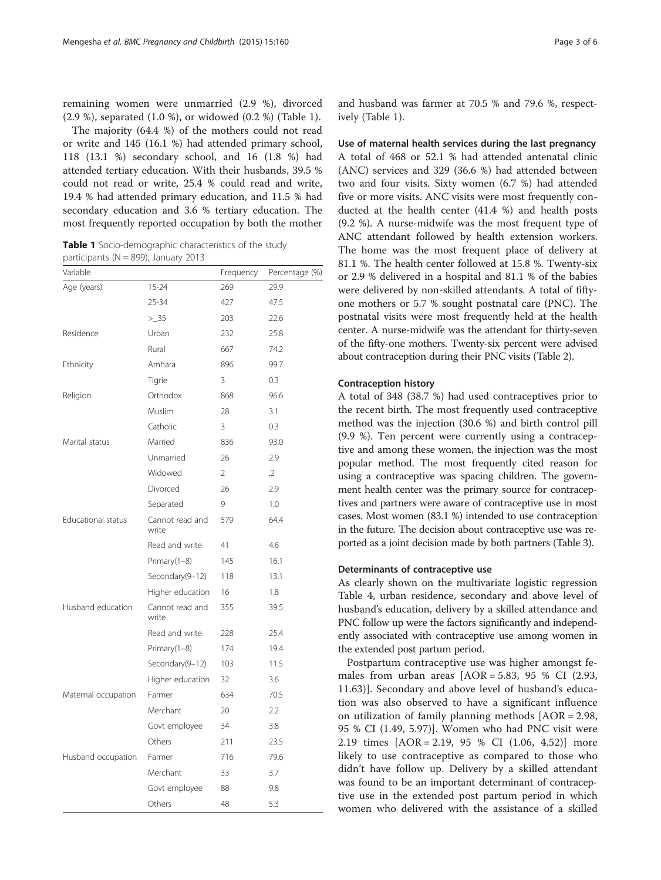remaining women were unmarried (2.9 %), divorced (2.9 %), separated (1.0 %), or widowed (0.2 %) (Table 1).

The majority (64.4 %) of the mothers could not read or write and 145 (16.1 %) had attended primary school, 118 (13.1 %) secondary school, and 16 (1.8 %) had attended tertiary education. With their husbands, 39.5 % could not read or write, 25.4 % could read and write, 19.4 % had attended primary education, and 11.5 % had secondary education and 3.6 % tertiary education. The most frequently reported occupation by both the mother

Table 1 Socio-demographic characteristics of the study participants ( $N = 899$ ), January 2013

| Variable            |                          | Frequency | Percentage (%) |
|---------------------|--------------------------|-----------|----------------|
| Age (years)         | $15 - 24$                | 269       | 29.9           |
|                     | 25-34                    | 427       | 47.5           |
|                     | > 35                     | 203       | 22.6           |
| Residence           | Urban                    | 232       | 25.8           |
|                     | Rural                    | 667       | 74.2           |
| Ethnicity           | Amhara                   | 896       | 99.7           |
|                     | Tigrie                   | 3         | 0.3            |
| Religion            | Orthodox                 | 868       | 96.6           |
|                     | Muslim                   | 28        | 3.1            |
|                     | Catholic                 | 3         | 0.3            |
| Marital status      | Married                  | 836       | 93.0           |
|                     | Unmarried                | 26        | 2.9            |
|                     | Widowed                  | 2         | $\cdot$ .2     |
|                     | Divorced                 | 26        | 2.9            |
|                     | Separated                | 9         | 1.0            |
| Educational status  | Cannot read and<br>write | 579       | 64.4           |
|                     | Read and write           | 41        | 4.6            |
|                     | Primary(1-8)             | 145       | 16.1           |
|                     | Secondary(9-12)          | 118       | 13.1           |
|                     | Higher education         | 16        | 1.8            |
| Husband education   | Cannot read and<br>write | 355       | 39.5           |
|                     | Read and write           | 228       | 25.4           |
|                     | Primary(1-8)             | 174       | 19.4           |
|                     | Secondary(9-12)          | 103       | 11.5           |
|                     | Higher education         | 32        | 3.6            |
| Maternal occupation | Farmer                   | 634       | 70.5           |
|                     | Merchant                 | 20        | 2.2            |
|                     | Govt employee            | 34        | 3.8            |
|                     | Others                   | 211       | 23.5           |
| Husband occupation  | Farmer                   | 716       | 79.6           |
|                     | Merchant                 | 33        | 3.7            |
|                     | Govt employee            | 88        | 9.8            |
|                     | Others                   | 48        | 5.3            |

and husband was farmer at 70.5 % and 79.6 %, respectively (Table 1).

Use of maternal health services during the last pregnancy A total of 468 or 52.1 % had attended antenatal clinic (ANC) services and 329 (36.6 %) had attended between two and four visits. Sixty women (6.7 %) had attended five or more visits. ANC visits were most frequently conducted at the health center (41.4 %) and health posts (9.2 %). A nurse-midwife was the most frequent type of ANC attendant followed by health extension workers. The home was the most frequent place of delivery at 81.1 %. The health center followed at 15.8 %. Twenty-six or 2.9 % delivered in a hospital and 81.1 % of the babies were delivered by non-skilled attendants. A total of fiftyone mothers or 5.7 % sought postnatal care (PNC). The postnatal visits were most frequently held at the health center. A nurse-midwife was the attendant for thirty-seven of the fifty-one mothers. Twenty-six percent were advised about contraception during their PNC visits (Table [2](#page-3-0)).

#### Contraception history

A total of 348 (38.7 %) had used contraceptives prior to the recent birth. The most frequently used contraceptive method was the injection (30.6 %) and birth control pill (9.9 %). Ten percent were currently using a contraceptive and among these women, the injection was the most popular method. The most frequently cited reason for using a contraceptive was spacing children. The government health center was the primary source for contraceptives and partners were aware of contraceptive use in most cases. Most women (83.1 %) intended to use contraception in the future. The decision about contraceptive use was reported as a joint decision made by both partners (Table [3](#page-3-0)).

#### Determinants of contraceptive use

As clearly shown on the multivariate logistic regression Table [4](#page-4-0), urban residence, secondary and above level of husband's education, delivery by a skilled attendance and PNC follow up were the factors significantly and independently associated with contraceptive use among women in the extended post partum period.

Postpartum contraceptive use was higher amongst females from urban areas  $[AOR = 5.83, 95 % CI (2.93, 1.17)]$ 11.63)]. Secondary and above level of husband's education was also observed to have a significant influence on utilization of family planning methods [AOR = 2.98, 95 % CI (1.49, 5.97)]. Women who had PNC visit were 2.19 times [AOR = 2.19, 95 % CI (1.06, 4.52)] more likely to use contraceptive as compared to those who didn't have follow up. Delivery by a skilled attendant was found to be an important determinant of contraceptive use in the extended post partum period in which women who delivered with the assistance of a skilled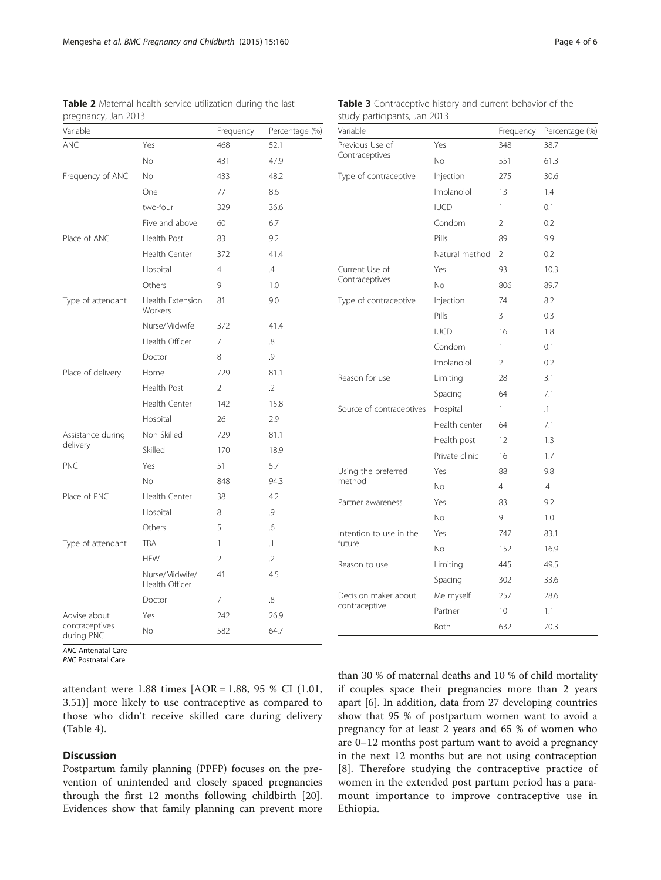| Variable                     |                                  | Frequency      | Percentage (%) |
|------------------------------|----------------------------------|----------------|----------------|
| <b>ANC</b>                   | Yes                              | 468            | 52.1           |
|                              | No.                              | 431<br>47.9    |                |
| Frequency of ANC             | No.                              | 433            | 48.2           |
|                              | One                              | 77             | 8.6            |
|                              | two-four                         | 329            | 36.6           |
|                              | Five and above                   | 60             | 6.7            |
| Place of ANC                 | Health Post                      | 83             | 9.2            |
|                              | Health Center                    | 372            | 41.4           |
|                              | Hospital                         | $\overline{4}$ | $\mathcal{A}$  |
|                              | Others                           | 9              | 1.0            |
| Type of attendant            | Health Extension<br>Workers      | 81             | 9.0            |
|                              | Nurse/Midwife                    | 372            | 41.4           |
|                              | Health Officer                   | 7              | .8             |
|                              | Doctor                           | 8              | .9             |
| Place of delivery            | Home                             | 729            | 81.1           |
|                              | Health Post                      | 2              | $\cdot$ .2     |
|                              | Health Center                    | 142            | 15.8           |
|                              | Hospital                         | 26             | 2.9            |
| Assistance during            | Non Skilled                      | 729            | 81.1           |
| delivery                     | Skilled                          | 170            | 18.9           |
| <b>PNC</b>                   | Yes                              | 51             | 5.7            |
|                              | No.                              | 848            | 94.3           |
| Place of PNC                 | Health Center                    | 38             | 4.2            |
|                              | Hospital                         | 8              | .9             |
|                              | Others                           | 5              | .6             |
| Type of attendant            | TBA                              | 1              | .1             |
|                              | <b>HEW</b>                       | $\overline{2}$ | $\cdot$ .2     |
|                              | Nurse/Midwife/<br>Health Officer | 41             | 4.5            |
|                              | Doctor                           | 7              | .8             |
| Advise about                 | Yes                              | 242            | 26.9           |
| contraceptives<br>during PNC | No                               | 582            | 64.7           |

<span id="page-3-0"></span>

| <b>Table 2</b> Maternal health service utilization during the last |  |  |  |
|--------------------------------------------------------------------|--|--|--|
| pregnancy, Jan 2013                                                |  |  |  |

Table 3 Contraceptive history and current behavior of the study participants, Jan 2013

| Variable                 |                | Frequency      | Percentage (%) |
|--------------------------|----------------|----------------|----------------|
| Previous Use of          | Yes            | 348            | 38.7           |
| Contraceptives           | No             | 551            | 61.3           |
| Type of contraceptive    | Injection      | 275            | 30.6           |
|                          | Implanolol     | 13             | 1.4            |
|                          | <b>IUCD</b>    | 1              | 0.1            |
|                          | Condom         | 2              | 0.2            |
|                          | Pills          | 89             | 9.9            |
|                          | Natural method | 2              | 0.2            |
| Current Use of           | Yes            | 93             | 10.3           |
| Contraceptives           | <b>No</b>      | 806            | 89.7           |
| Type of contraceptive    | Injection      | 74             | 8.2            |
|                          | Pills          | 3              | 0.3            |
|                          | <b>IUCD</b>    | 16             | 1.8            |
|                          | Condom         | 1              | 0.1            |
|                          | Implanolol     | 2              | 0.2            |
| Reason for use           | Limiting       | 28             | 3.1            |
|                          | Spacing        | 64             | 7.1            |
| Source of contraceptives | Hospital       | 1              | $\cdot$ 1      |
|                          | Health center  | 64             | 7.1            |
|                          | Health post    | 12             | 1.3            |
|                          | Private clinic | 16             | 1.7            |
| Using the preferred      | Yes            | 88             | 9.8            |
| method                   | <b>No</b>      | $\overline{4}$ | $\mathcal{A}$  |
| Partner awareness        | Yes            | 83             | 9.2            |
|                          | <b>No</b>      | 9              | 1.0            |
| Intention to use in the  | Yes            | 747            | 83.1           |
| future                   | <b>No</b>      | 152            | 16.9           |
| Reason to use            | Limiting       | 445            | 49.5           |
|                          | Spacing        | 302            | 33.6           |
| Decision maker about     | Me myself      | 257            | 28.6           |
| contraceptive            | Partner        | 10             | 1.1            |
|                          | Both           | 632            | 70.3           |

ANC Antenatal Care

PNC Postnatal Care

attendant were 1.88 times [AOR = 1.88, 95 % CI (1.01, 3.51)] more likely to use contraceptive as compared to those who didn't receive skilled care during delivery (Table [4\)](#page-4-0).

### Discussion

Postpartum family planning (PPFP) focuses on the prevention of unintended and closely spaced pregnancies through the first 12 months following childbirth [\[20](#page-5-0)]. Evidences show that family planning can prevent more than 30 % of maternal deaths and 10 % of child mortality if couples space their pregnancies more than 2 years apart [\[6\]](#page-5-0). In addition, data from 27 developing countries show that 95 % of postpartum women want to avoid a pregnancy for at least 2 years and 65 % of women who are 0–12 months post partum want to avoid a pregnancy in the next 12 months but are not using contraception [[8](#page-5-0)]. Therefore studying the contraceptive practice of women in the extended post partum period has a paramount importance to improve contraceptive use in Ethiopia.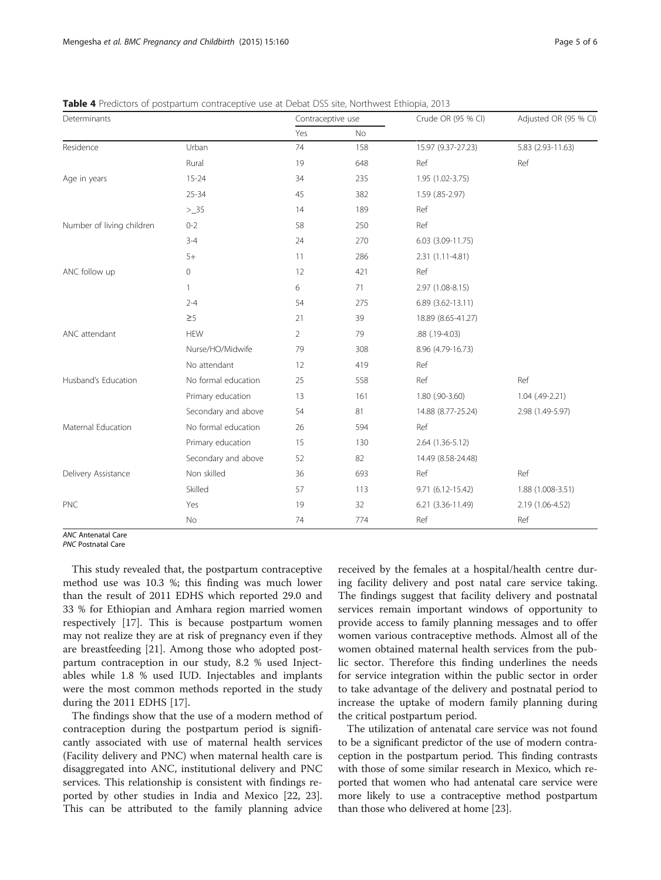| Determinants              |                     | Contraceptive use |     | Crude OR (95 % CI)      | Adjusted OR (95 % CI) |
|---------------------------|---------------------|-------------------|-----|-------------------------|-----------------------|
|                           |                     | Yes               | No  |                         |                       |
| Residence                 | Urban               | 74                | 158 | 15.97 (9.37-27.23)      | 5.83 (2.93-11.63)     |
|                           | Rural               | 19                | 648 | Ref                     | Ref                   |
| Age in years              | $15 - 24$           | 34                | 235 | 1.95 (1.02-3.75)        |                       |
|                           | $25 - 34$           | 45                | 382 | 1.59 (.85-2.97)         |                       |
|                           | $>$ _35             | 14                | 189 | Ref                     |                       |
| Number of living children | $0 - 2$             | 58                | 250 | Ref                     |                       |
|                           | $3 - 4$             | 24                | 270 | $6.03$ $(3.09-11.75)$   |                       |
|                           | $5+$                | 11                | 286 | 2.31 (1.11-4.81)        |                       |
| ANC follow up             | $\circ$             | 12                | 421 | Ref                     |                       |
|                           | 1                   | 6                 | 71  | 2.97 (1.08-8.15)        |                       |
|                           | $2 - 4$             | 54                | 275 | $6.89$ $(3.62 - 13.11)$ |                       |
|                           | $\geq$ 5            | 21                | 39  | 18.89 (8.65-41.27)      |                       |
| ANC attendant             | <b>HEW</b>          | $\overline{2}$    | 79  | .88 (.19-4.03)          |                       |
|                           | Nurse/HO/Midwife    | 79                | 308 | 8.96 (4.79-16.73)       |                       |
|                           | No attendant        | 12                | 419 | Ref                     |                       |
| Husband's Education       | No formal education | 25                | 558 | Ref                     | Ref                   |
|                           | Primary education   | 13                | 161 | 1.80 (.90-3.60)         | $1.04$ (.49-2.21)     |
|                           | Secondary and above | 54                | 81  | 14.88 (8.77-25.24)      | 2.98 (1.49-5.97)      |
| Maternal Education        | No formal education | 26                | 594 | Ref                     |                       |
|                           | Primary education   | 15                | 130 | 2.64 (1.36-5.12)        |                       |
|                           | Secondary and above | 52                | 82  | 14.49 (8.58-24.48)      |                       |
| Delivery Assistance       | Non skilled         | 36                | 693 | Ref                     | Ref                   |
|                           | Skilled             | 57                | 113 | 9.71 (6.12-15.42)       | 1.88 (1.008-3.51)     |
| <b>PNC</b>                | Yes                 | 19                | 32  | 6.21 (3.36-11.49)       | 2.19 (1.06-4.52)      |
|                           | No                  | 74                | 774 | Ref                     | Ref                   |

<span id="page-4-0"></span>Table 4 Predictors of postpartum contraceptive use at Debat DSS site, Northwest Ethiopia, 2013

ANC Antenatal Care

PNC Postnatal Care

This study revealed that, the postpartum contraceptive method use was 10.3 %; this finding was much lower than the result of 2011 EDHS which reported 29.0 and 33 % for Ethiopian and Amhara region married women respectively [\[17\]](#page-5-0). This is because postpartum women may not realize they are at risk of pregnancy even if they are breastfeeding [[21\]](#page-5-0). Among those who adopted postpartum contraception in our study, 8.2 % used Injectables while 1.8 % used IUD. Injectables and implants were the most common methods reported in the study during the 2011 EDHS [\[17](#page-5-0)].

The findings show that the use of a modern method of contraception during the postpartum period is significantly associated with use of maternal health services (Facility delivery and PNC) when maternal health care is disaggregated into ANC, institutional delivery and PNC services. This relationship is consistent with findings reported by other studies in India and Mexico [[22](#page-5-0), [23](#page-5-0)]. This can be attributed to the family planning advice

received by the females at a hospital/health centre during facility delivery and post natal care service taking. The findings suggest that facility delivery and postnatal services remain important windows of opportunity to provide access to family planning messages and to offer women various contraceptive methods. Almost all of the women obtained maternal health services from the public sector. Therefore this finding underlines the needs for service integration within the public sector in order to take advantage of the delivery and postnatal period to increase the uptake of modern family planning during the critical postpartum period.

The utilization of antenatal care service was not found to be a significant predictor of the use of modern contraception in the postpartum period. This finding contrasts with those of some similar research in Mexico, which reported that women who had antenatal care service were more likely to use a contraceptive method postpartum than those who delivered at home [\[23\]](#page-5-0).